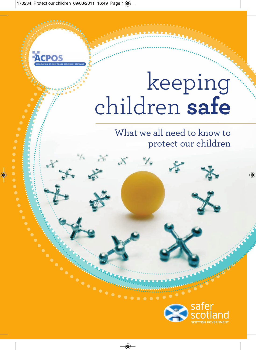# keeping children **safe**

⊀

What we all need to know to protect our children

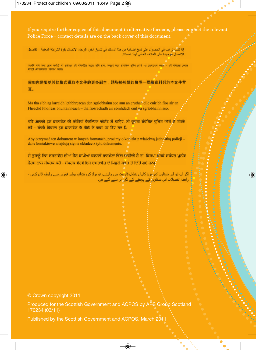**If you require further copies of this document in alternative formats, please contact the relevant Police Force – contact details are on the back cover of this document.**

إذا كثتُ تر غب في الحصول على نسخ إضافية من هذا المستند في تنسيق آخر ، الر جاء الإتصال بقوة الشرطة المعنية – تفاصيل الاتصال موجودة على الغلاف الخلفي لهذا المستند.

আপনি যদি অন্য কোন ফৰ্ম্যট বা ভৰ্তমায় এই দলিলটির আরো কপি চান, অনগ্রহ করে প্রাসঙ্গিক পলিশ ফোর্স –এ যোগাযোগ করব – এই দলিলের পেদনে মলাট যোগাযোগের বিবরণ আছে।

假如你需要以其他格式獲取本文件的更多副本,請聯絡相關的警隊—聯絡資料列於本文件背 頁。

Ma tha sibh ag iarraidh lethbhreacan den sgrìobhainn seo ann an cruthan eile cuiribh fios air an Fheachd Phoileas bhuntainneach - tha fiosrachadh air còmhdach cùil na sgrìobhainn seo.

यदि आपको इस दस्तावेज की कॉपियां वैकल्पिक फॉर्मेट में चाहिए, तो कृपया संबंधित पुलिस फ़ोर्स से संपर्क करें - संपर्क विवरण इस दस्तावेज के पीछे के कवर पर दिए गए हैं.

Aby otrzymać ten dokument w innych formatach, prosimy o kontakt z właściwa jednostka policii – dane kontaktowe znajdują się na okładce z tyłu dokumentu.

ਜੇ ਤਹਾਨੂੰ ਇਸ ਦਸਤਾਵੇਜ਼ ਦੀਆਂ ਹੋਰ ਕਾਪੀਆਂ ਬਦਲਵੇਂ ਫ਼ਾਰਮੈਟਾਂ ਵਿੱਚ ਚਾਹੀਦੀ ਹੈ ਤਾਂ, ਕਿਰਪਾ ਕਰਕੇ ਸਬੰਧਤ ਪੁਲੀਸ ਫੋਰਸ ਨਾਲ ਸੰਪਰਕ ਕਰੋ - ਸੰਪਰਕ ਵੇਰਵੇ ਇਸ ਦਸਤਾਵੇਜ਼ ਦੇ ਪਿਛਲੇ ਕਵਰ ਤੇ ਦਿੱਤੇ ਗਏ ਹਨ।<sup>ੰ</sup>

اگر آپ کو اس دستاویز کو ُمزید کاپیاں متبادل فارمیٹ میں چاہیئے، تو ہر اہ کرم متعلقہ پولس فورس سے رابطہ قائم کریں ۔ رابطۂ تفصیلات اس دستاویر کے پیچھے کے گور پر دیئے گئے ہیں۔  $\ddot{\cdot}$ 

#### © Crown copyright 2011

Produced for the Scottish Government and ACPOS by APS Group Scotland 170234 (03/11)

Published by the Scottish Government and ACPOS, March 2011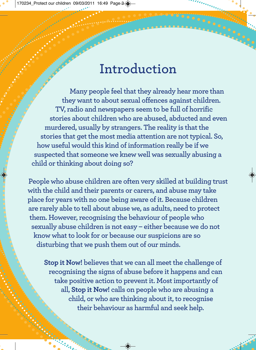# **Introduction**

**Many people feel that they already hear more than they want to about sexual offences against children. TV, radio and newspapers seem to be full of horrific stories about children who are abused, abducted and even murdered, usually by strangers. The reality is that the stories that get the most media attention are not typical. So, how useful would this kind of information really be if we suspected that someone we knew well was sexually abusing a child or thinking about doing so?** 

**People who abuse children are often very skilled at building trust with the child and their parents or carers, and abuse may take place for years with no one being aware of it. Because children are rarely able to tell about abuse we, as adults, need to protect them. However, recognising the behaviour of people who sexually abuse children is not easy – either because we do not know what to look for or because our suspicions are so disturbing that we push them out of our minds.**

**Stop it Now! believes that we can all meet the challenge of recognising the signs of abuse before it happens and can take positive action to prevent it. Most importantly of all, Stop it Now! calls on people who are abusing a child, or who are thinking about it, to recognise their behaviour as harmful and seek help.**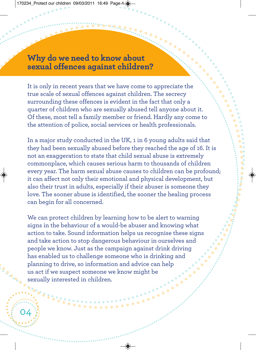#### **Why do we need to know about sexual offences against children?**

It is only in recent years that we have come to appreciate the true scale of sexual offences against children. The secrecy surrounding these offences is evident in the fact that only a quarter of children who are sexually abused tell anyone about it. Of these, most tell a family member or friend. Hardly any come to the attention of police, social services or health professionals.

In a major study conducted in the UK, 1 in 6 young adults said that they had been sexually abused before they reached the age of 16. It is not an exaggeration to state that child sexual abuse is extremely commonplace, which causes serious harm to thousands of children every year. The harm sexual abuse causes to children can be profound; it can affect not only their emotional and physical development, but also their trust in adults, especially if their abuser is someone they love. The sooner abuse is identified, the sooner the healing process can begin for all concerned.

We can protect children by learning how to be alert to warning signs in the behaviour of a would-be abuser and knowing what action to take. Sound information helps us recognise these signs and take action to stop dangerous behaviour in ourselves and people we know. Just as the campaign against drink driving has enabled us to challenge someone who is drinking and planning to drive, so information and advice can help us act if we suspect someone we know might be sexually interested in children.

04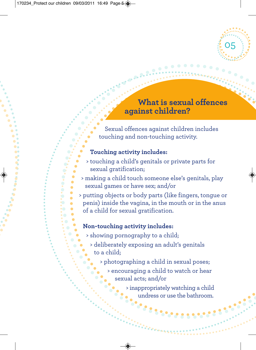# **What is sexual offences against children?**

05

Sexual offences against children includes touching and non-touching activity.

#### **Touching activity includes:**

0.0.0.0  $\blacksquare$  $\bullet$  $\bullet$  $\bullet$  $\bullet$  $\blacksquare$ 

- > touching a child's genitals or private parts for sexual gratification;
- > making a child touch someone else's genitals, play sexual games or have sex; and/or
- > putting objects or body parts (like fingers, tongue or penis) inside the vagina, in the mouth or in the anus of a child for sexual gratification.

#### **Non-touching activity includes:**

- > showing pornography to a child;
	- > deliberately exposing an adult's genitals to a child;
		- > photographing a child in sexual poses;
			- > encouraging a child to watch or hear sexual acts; and/or

> inappropriately watching a child undress or use the bathroom.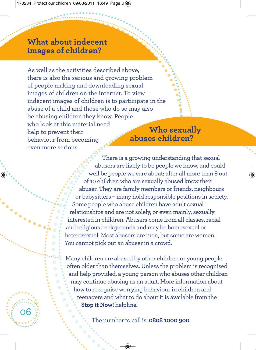### **What about indecent images of children?**

06

As well as the activities described above, there is also the serious and growing problem of people making and downloading sexual images of children on the internet. To view indecent images of children is to participate in the abuse of a child and those who do so may also be abusing children they know. People who look at this material need help to prevent their behaviour from becoming even more serious.

## **Who sexually abuses children?**

There is a growing understanding that sexual abusers are likely to be people we know, and could well be people we care about; after all more than 8 out of 10 children who are sexually abused know their abuser. They are family members or friends, neighbours or babysitters – many hold responsible positions in society. Some people who abuse children have adult sexual relationships and are not solely, or even mainly, sexually interested in children. Abusers come from all classes, racial and religious backgrounds and may be homosexual or heterosexual. Most abusers are men, but some are women. You cannot pick out an abuser in a crowd.

Many children are abused by other children or young people, often older than themselves. Unless the problem is recognised and help provided, a young person who abuses other children may continue abusing as an adult. More information about how to recognise worrying behaviour in children and teenagers and what to do about it is available from the **Stop it Now!** helpline.

The number to call is: **0808 1000 900**.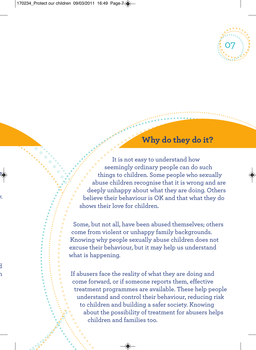

# **Why do they do it?**

It is not easy to understand how seemingly ordinary people can do such things to children. Some people who sexually abuse children recognise that it is wrong and are deeply unhappy about what they are doing. Others believe their behaviour is OK and that what they do shows their love for children.

Some, but not all, have been abused themselves; others come from violent or unhappy family backgrounds. Knowing why people sexually abuse children does not excuse their behaviour, but it may help us understand what is happening.

If abusers face the reality of what they are doing and come forward, or if someone reports them, effective treatment programmes are available. These help people understand and control their behaviour, reducing risk to children and building a safer society. Knowing about the possibility of treatment for abusers helps children and families too.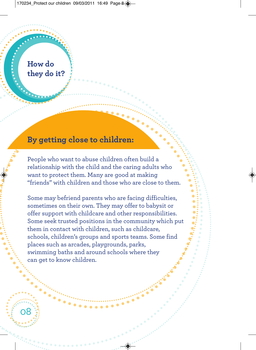# **How do they do it?**

08

#### **By getting close to children:**

People who want to abuse children often build a relationship with the child and the caring adults who want to protect them. Many are good at making "friends" with children and those who are close to them.

Some may befriend parents who are facing difficulties, sometimes on their own. They may offer to babysit or offer support with childcare and other responsibilities. Some seek trusted positions in the community which put them in contact with children, such as childcare, schools, children's groups and sports teams. Some find places such as arcades, playgrounds, parks, swimming baths and around schools where they can get to know children.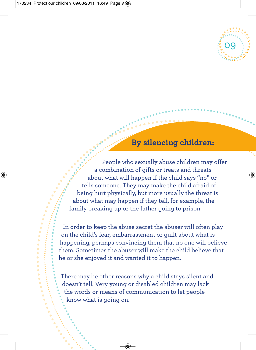

### **By silencing children:**

People who sexually abuse children may offer a combination of gifts or treats and threats about what will happen if the child says "no" or tells someone. They may make the child afraid of being hurt physically, but more usually the threat is about what may happen if they tell, for example, the family breaking up or the father going to prison.

In order to keep the abuse secret the abuser will often play on the child's fear, embarrassment or guilt about what is happening, perhaps convincing them that no one will believe them. Sometimes the abuser will make the child believe that he or she enjoyed it and wanted it to happen.

There may be other reasons why a child stays silent and doesn't tell. Very young or disabled children may lack the words or means of communication to let people know what is going on.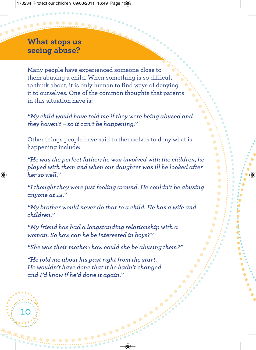### **What stops us seeing abuse?**

Many people have experienced someone close to them abusing a child. When something is so difficult to think about, it is only human to find ways of denying it to ourselves. One of the common thoughts that parents in this situation have is:

*"My child would have told me if they were being abused and they haven't – so it can't be happening."*

Other things people have said to themselves to deny what is happening include:

*"He was the perfect father; he was involved with the children, he played with them and when our daughter was ill he looked after her so well."*

*"I thought they were just fooling around. He couldn't be abusing anyone at 14."*

*"My brother would never do that to a child. He has a wife and children."*

*"My friend has had a longstanding relationship with a woman. So how can he be interested in boys?"*

*"She was their mother: how could she be abusing them?"*

 $\bullet$ 

 $\bullet$  $\bullet$ 

*"He told me about his past right from the start. He wouldn't have done that if he hadn't changed and I'd know if he'd done it again."*

10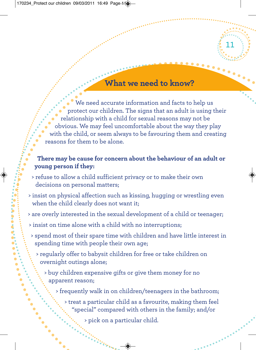## **What we need to know?**

11

We need accurate information and facts to help us protect our children. The signs that an adult is using their relationship with a child for sexual reasons may not be obvious. We may feel uncomfortable about the way they play with the child, or seem always to be favouring them and creating reasons for them to be alone.

#### **There may be cause for concern about the behaviour of an adult or young person if they:**

- > refuse to allow a child sufficient privacy or to make their own decisions on personal matters;
- > insist on physical affection such as kissing, hugging or wrestling even when the child clearly does not want it;
- > are overly interested in the sexual development of a child or teenager;
- > insist on time alone with a child with no interruptions;
- > spend most of their spare time with children and have little interest in spending time with people their own age;
	- > regularly offer to babysit children for free or take children on overnight outings alone;
		- > buy children expensive gifts or give them money for no apparent reason;

> frequently walk in on children/teenagers in the bathroom;

> treat a particular child as a favourite, making them feel "special" compared with others in the family; and/or

> pick on a particular child.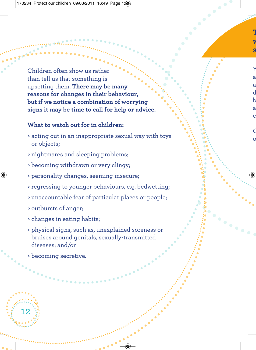Children often show us rather than tell us that something is upsetting them. **There may be many reasons for changes in their behaviour, but if we notice a combination of worrying signs it may be time to call for help or advice.**

#### **What to watch out for in children:**

- > acting out in an inappropriate sexual way with toys or objects;
- > nightmares and sleeping problems;
- > becoming withdrawn or very clingy;
- > personality changes, seeming insecure;
- > regressing to younger behaviours, e.g. bedwetting;
- > unaccountable fear of particular places or people;

 $\bullet$  $\bullet$ 

- > outbursts of anger;
- > changes in eating habits;
- > physical signs, such as, unexplained soreness or bruises around genitals, sexually-transmitted diseases; and/or
- > becoming secretive.

12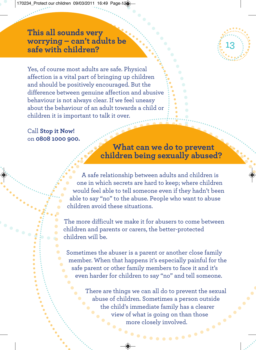#### **This all sounds very worrying – can't adults be safe with children?**



Yes, of course most adults are safe. Physical affection is a vital part of bringing up children and should be positively encouraged. But the difference between genuine affection and abusive behaviour is not always clear. If we feel uneasy about the behaviour of an adult towards a child or children it is important to talk it over.

Call **Stop it Now!** on **0808 1000 900.**

**What can we do to prevent children being sexually abused?**

A safe relationship between adults and children is one in which secrets are hard to keep; where children would feel able to tell someone even if they hadn't been able to say "no" to the abuse. People who want to abuse children avoid these situations.

The more difficult we make it for abusers to come between children and parents or carers, the better-protected children will be.

Sometimes the abuser is a parent or another close family member. When that happens it's especially painful for the safe parent or other family members to face it and it's even harder for children to say "no" and tell someone.

> There are things we can all do to prevent the sexual abuse of children. Sometimes a person outside the child's immediate family has a clearer view of what is going on than those more closely involved.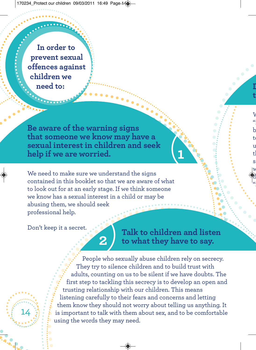**In order to prevent sexual offences against children we need to:**

**Be aware of the warning signs that someone we know may have a sexual interest in children and seek help if we are worried.**

We need to make sure we understand the signs contained in this booklet so that we are aware of what to look out for at an early stage. If we think someone we know has a sexual interest in a child or may be abusing them, we should seek professional help.

**2**)

Don't keep it a secret.

14

**Talk to children and listen to what they have to say.**

(**1**

People who sexually abuse children rely on secrecy. They try to silence children and to build trust with adults, counting on us to be silent if we have doubts. The first step to tackling this secrecy is to develop an open and trusting relationship with our children. This means listening carefully to their fears and concerns and letting them know they should not worry about telling us anything. It is important to talk with them about sex, and to be comfortable using the words they may need.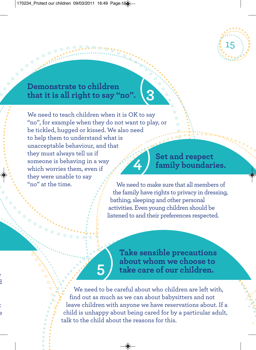

#### **Demonstrate to children that it is all right to say "no".**

 $\bullet$ 

 $\bullet$ 

We need to teach children when it is OK to say "no", for example when they do not want to play, or be tickled, hugged or kissed. We also need to help them to understand what is unacceptable behaviour, and that they must always tell us if someone is behaving in a way which worries them, even if they were unable to say "no" at the time. **4**)

**5**)

**Set and respect family boundaries.**

We need to make sure that all members of the family have rights to privacy in dressing, bathing, sleeping and other personal activities. Even young children should be listened to and their preferences respected.

**Take sensible precautions about whom we choose to take care of our children.**

We need to be careful about who children are left with, find out as much as we can about babysitters and not leave children with anyone we have reservations about. If a child is unhappy about being cared for by a particular adult, talk to the child about the reasons for this.

(**3**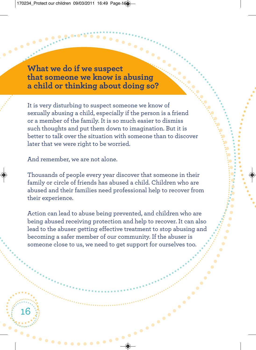**What we do if we suspect that someone we know is abusing a child or thinking about doing so?**

It is very disturbing to suspect someone we know of sexually abusing a child, especially if the person is a friend or a member of the family. It is so much easier to dismiss such thoughts and put them down to imagination. But it is better to talk over the situation with someone than to discover later that we were right to be worried.

And remember, we are not alone.

16

 $\bullet$   $\bullet$ 

Thousands of people every year discover that someone in their family or circle of friends has abused a child. Children who are abused and their families need professional help to recover from their experience.

Action can lead to abuse being prevented, and children who are being abused receiving protection and help to recover. It can also lead to the abuser getting effective treatment to stop abusing and becoming a safer member of our community. If the abuser is someone close to us, we need to get support for ourselves too.

*<u>Allendridge</u>*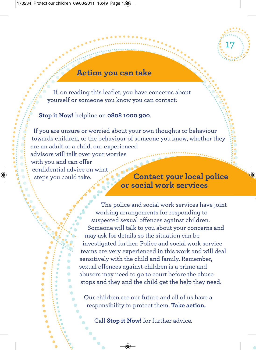

#### **Action you can take**

If, on reading this leaflet, you have concerns about yourself or someone you know you can contact:

#### **Stop it Now!** helpline on **0808 1000 900**.

If you are unsure or worried about your own thoughts or behaviour towards children, or the behaviour of someone you know, whether they are an adult or a child, our experienced advisors will talk over your worries with you and can offer confidential advice on what steps you could take. **Contact your local police** 

# **or social work services**

The police and social work services have joint working arrangements for responding to suspected sexual offences against children. Someone will talk to you about your concerns and may ask for details so the situation can be investigated further. Police and social work service teams are very experienced in this work and will deal sensitively with the child and family. Remember, sexual offences against children is a crime and abusers may need to go to court before the abuse stops and they and the child get the help they need.

Our children are our future and all of us have a responsibility to protect them. **Take action.**

Call **Stop it Now!** for further advice.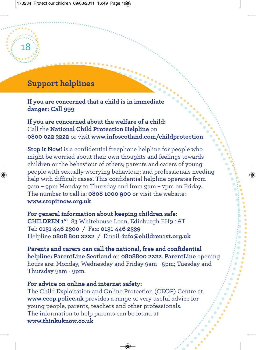# **Support helplines**

18

**If you are concerned that a child is in immediate danger: Call 999**

**If you are concerned about the welfare of a child:** Call the **National Child Protection Helpline** on **0800 022 3222** or visit **www.infoscotland.com/childprotection**

**Stop it Now!** is a confidential freephone helpline for people who might be worried about their own thoughts and feelings towards children or the behaviour of others; parents and carers of young people with sexually worrying behaviour; and professionals needing help with difficult cases. This confidential helpline operates from 9am – 9pm Monday to Thursday and from 9am – 7pm on Friday. The number to call is: **0808 1000 900** or visit the website: **www.stopitnow.org.uk**

**For general information about keeping children safe: CHILDREN 1ST**, 83 Whitehouse Loan, Edinburgh EH9 1AT Tel: **0131 446 2300** / Fax: **0131 446 2339** Helpline **0808 800 2222** / Email: **info@children1st.org.uk**

**Parents and carers can call the national, free and confidential helpline: ParentLine Scotland** on **0808800 2222**. **ParentLine** opening hours are: Monday, Wednesday and Friday 9am - 5pm; Tuesday and Thursday 9am - 9pm.

#### **For advice on online and internet safety:**

The Child Exploitation and Online Protection (CEOP) Centre at **www.ceop.police.uk** provides a range of very useful advice for young people, parents, teachers and other professionals. The information to help parents can be found at **www.thinkuknow.co.uk**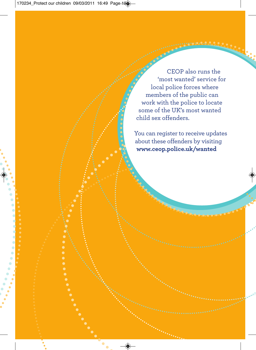CEOP also runs the 'most wanted' service for local police forces where members of the public can work with the police to locate some of the UK's most wanted child sex offenders.

You can register to receive updates about these offenders by visiting **www.ceop.police.uk/wanted**